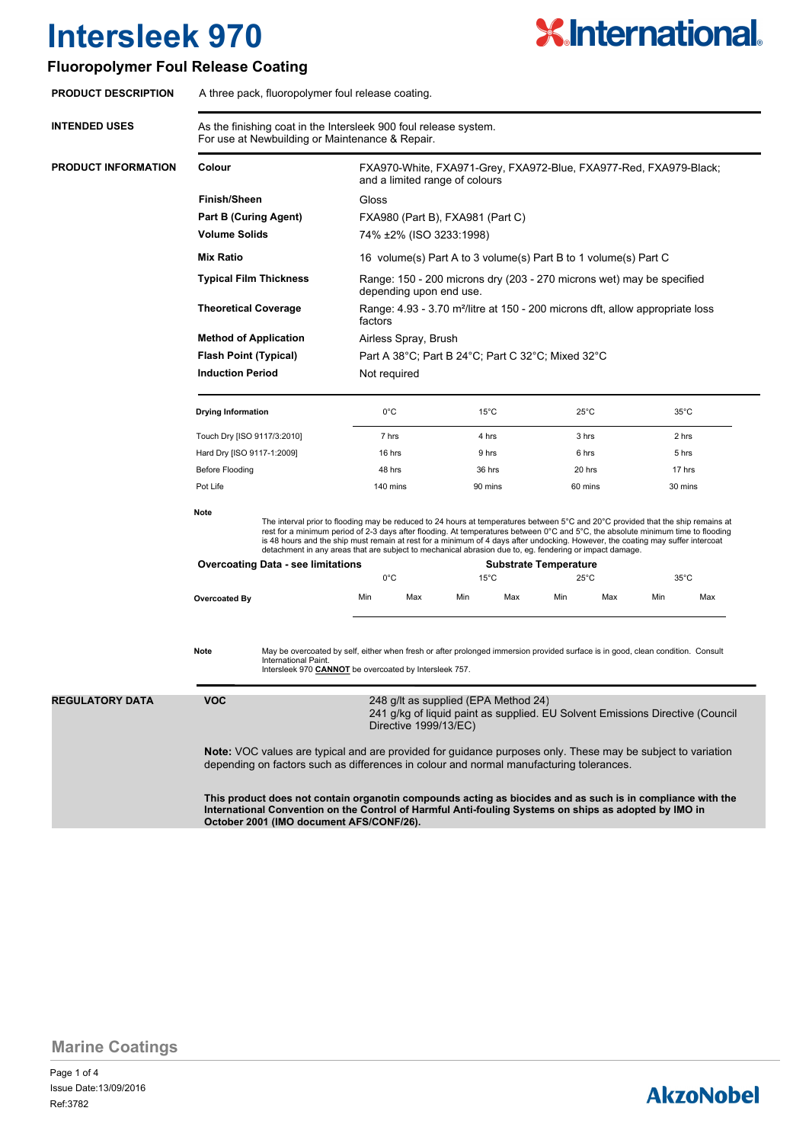# **X.International.**

#### **Fluoropolymer Foul Release Coating**

| <b>PRODUCT DESCRIPTION</b> | A three pack, fluoropolymer foul release coating.                                                                                                                                                                                                               |                             |                                                                                                                                                                                                                                                                                                                                                                                                                                                                                                                    |       |                |                              |                |       |                |       |  |
|----------------------------|-----------------------------------------------------------------------------------------------------------------------------------------------------------------------------------------------------------------------------------------------------------------|-----------------------------|--------------------------------------------------------------------------------------------------------------------------------------------------------------------------------------------------------------------------------------------------------------------------------------------------------------------------------------------------------------------------------------------------------------------------------------------------------------------------------------------------------------------|-------|----------------|------------------------------|----------------|-------|----------------|-------|--|
| <b>INTENDED USES</b>       | As the finishing coat in the Intersleek 900 foul release system.<br>For use at Newbuilding or Maintenance & Repair.                                                                                                                                             |                             |                                                                                                                                                                                                                                                                                                                                                                                                                                                                                                                    |       |                |                              |                |       |                |       |  |
| PRODUCT INFORMATION        | Colour                                                                                                                                                                                                                                                          |                             | FXA970-White, FXA971-Grey, FXA972-Blue, FXA977-Red, FXA979-Black;<br>and a limited range of colours                                                                                                                                                                                                                                                                                                                                                                                                                |       |                |                              |                |       |                |       |  |
|                            | <b>Finish/Sheen</b>                                                                                                                                                                                                                                             |                             | Gloss                                                                                                                                                                                                                                                                                                                                                                                                                                                                                                              |       |                |                              |                |       |                |       |  |
|                            | <b>Part B (Curing Agent)</b>                                                                                                                                                                                                                                    |                             | FXA980 (Part B), FXA981 (Part C)                                                                                                                                                                                                                                                                                                                                                                                                                                                                                   |       |                |                              |                |       |                |       |  |
|                            | <b>Volume Solids</b>                                                                                                                                                                                                                                            |                             | 74% ±2% (ISO 3233:1998)                                                                                                                                                                                                                                                                                                                                                                                                                                                                                            |       |                |                              |                |       |                |       |  |
|                            | <b>Mix Ratio</b>                                                                                                                                                                                                                                                |                             | 16 volume(s) Part A to 3 volume(s) Part B to 1 volume(s) Part C                                                                                                                                                                                                                                                                                                                                                                                                                                                    |       |                |                              |                |       |                |       |  |
|                            | <b>Typical Film Thickness</b>                                                                                                                                                                                                                                   |                             | Range: 150 - 200 microns dry (203 - 270 microns wet) may be specified<br>depending upon end use.                                                                                                                                                                                                                                                                                                                                                                                                                   |       |                |                              |                |       |                |       |  |
|                            | <b>Theoretical Coverage</b><br><b>Method of Application</b><br><b>Flash Point (Typical)</b>                                                                                                                                                                     |                             | Range: 4.93 - 3.70 m <sup>2</sup> /litre at 150 - 200 microns dft, allow appropriate loss<br>factors<br>Airless Spray, Brush                                                                                                                                                                                                                                                                                                                                                                                       |       |                |                              |                |       |                |       |  |
|                            |                                                                                                                                                                                                                                                                 |                             |                                                                                                                                                                                                                                                                                                                                                                                                                                                                                                                    |       |                |                              |                |       |                |       |  |
|                            |                                                                                                                                                                                                                                                                 |                             | Part A 38°C; Part B 24°C; Part C 32°C; Mixed 32°C                                                                                                                                                                                                                                                                                                                                                                                                                                                                  |       |                |                              |                |       |                |       |  |
|                            | <b>Induction Period</b>                                                                                                                                                                                                                                         |                             | Not required                                                                                                                                                                                                                                                                                                                                                                                                                                                                                                       |       |                |                              |                |       |                |       |  |
|                            | <b>Drying Information</b>                                                                                                                                                                                                                                       |                             | $0^{\circ}$ C                                                                                                                                                                                                                                                                                                                                                                                                                                                                                                      |       | $15^{\circ}$ C |                              | $25^{\circ}$ C |       | $35^{\circ}$ C |       |  |
|                            |                                                                                                                                                                                                                                                                 | Touch Dry [ISO 9117/3:2010] |                                                                                                                                                                                                                                                                                                                                                                                                                                                                                                                    | 7 hrs |                | 4 hrs                        |                | 3 hrs |                | 2 hrs |  |
|                            | Hard Dry [ISO 9117-1:2009]                                                                                                                                                                                                                                      |                             | 16 hrs                                                                                                                                                                                                                                                                                                                                                                                                                                                                                                             |       | 9 hrs          |                              | 6 hrs          |       | 5 hrs          |       |  |
| <b>Before Flooding</b>     |                                                                                                                                                                                                                                                                 |                             | 48 hrs                                                                                                                                                                                                                                                                                                                                                                                                                                                                                                             |       | 36 hrs         |                              | 20 hrs         |       | 17 hrs         |       |  |
|                            | Pot Life                                                                                                                                                                                                                                                        |                             | 140 mins                                                                                                                                                                                                                                                                                                                                                                                                                                                                                                           |       | 90 mins        |                              | 60 mins        |       | 30 mins        |       |  |
|                            | <b>Note</b>                                                                                                                                                                                                                                                     |                             | The interval prior to flooding may be reduced to 24 hours at temperatures between 5°C and 20°C provided that the ship remains at<br>rest for a minimum period of 2-3 days after flooding. At temperatures between 0°C and 5°C, the absolute minimum time to flooding<br>is 48 hours and the ship must remain at rest for a minimum of 4 days after undocking. However, the coating may suffer intercoat<br>detachment in any areas that are subject to mechanical abrasion due to, eg. fendering or impact damage. |       |                |                              |                |       |                |       |  |
|                            | <b>Overcoating Data - see limitations</b>                                                                                                                                                                                                                       |                             |                                                                                                                                                                                                                                                                                                                                                                                                                                                                                                                    |       |                | <b>Substrate Temperature</b> |                |       |                |       |  |
|                            |                                                                                                                                                                                                                                                                 |                             | $0^{\circ}$ C                                                                                                                                                                                                                                                                                                                                                                                                                                                                                                      |       | $15^{\circ}$ C |                              | $25^{\circ}$ C |       | $35^{\circ}$ C |       |  |
|                            | <b>Overcoated By</b>                                                                                                                                                                                                                                            |                             | Min                                                                                                                                                                                                                                                                                                                                                                                                                                                                                                                | Max   | Min            | Max                          | Min            | Max   | Min            | Max   |  |
|                            | May be overcoated by self, either when fresh or after prolonged immersion provided surface is in good, clean condition. Consult<br>Note<br>International Paint.<br>Intersleek 970 CANNOT be overcoated by Intersleek 757.                                       |                             |                                                                                                                                                                                                                                                                                                                                                                                                                                                                                                                    |       |                |                              |                |       |                |       |  |
| <b>REGULATORY DATA</b>     | VOC<br>248 g/lt as supplied (EPA Method 24)<br>241 g/kg of liquid paint as supplied. EU Solvent Emissions Directive (Council<br>Directive 1999/13/EC)                                                                                                           |                             |                                                                                                                                                                                                                                                                                                                                                                                                                                                                                                                    |       |                |                              |                |       |                |       |  |
|                            | Note: VOC values are typical and are provided for guidance purposes only. These may be subject to variation<br>depending on factors such as differences in colour and normal manufacturing tolerances.                                                          |                             |                                                                                                                                                                                                                                                                                                                                                                                                                                                                                                                    |       |                |                              |                |       |                |       |  |
|                            | This product does not contain organotin compounds acting as biocides and as such is in compliance with the<br>International Convention on the Control of Harmful Anti-fouling Systems on ships as adopted by IMO in<br>October 2001 (IMO document AFS/CONF/26). |                             |                                                                                                                                                                                                                                                                                                                                                                                                                                                                                                                    |       |                |                              |                |       |                |       |  |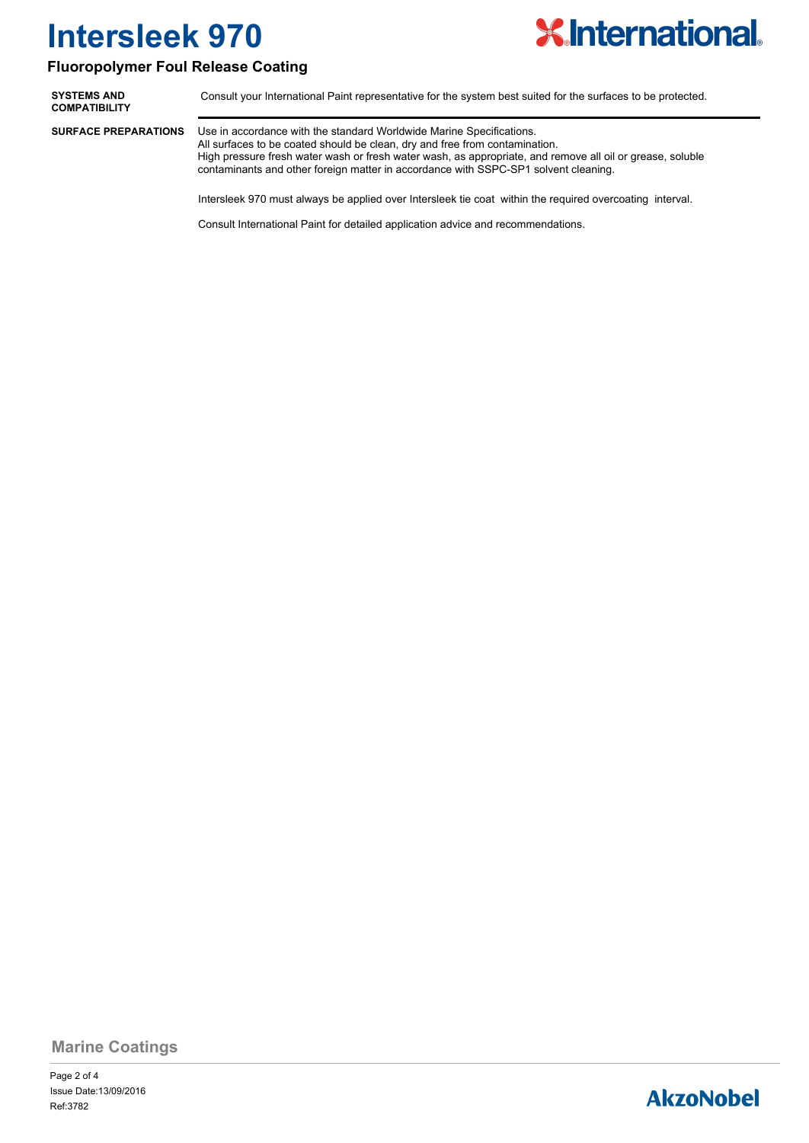

#### **Fluoropolymer Foul Release Coating**

**SYSTEMS AND** Consult your International Paint representative for the system best suited for the surfaces to be protected. **COMPATIBILITY** Use in accordance with the standard Worldwide Marine Specifications. All surfaces to be coated should be clean, dry and free from contamination. High pressure fresh water wash or fresh water wash, as appropriate, and remove all oil or grease, soluble contaminants and other foreign matter in accordance with SSPC-SP1 solvent cleaning. **SURFACE PREPARATIONS**

Intersleek 970 must always be applied over Intersleek tie coat within the required overcoating interval.

Consult International Paint for detailed application advice and recommendations.

**Marine Coatings**

Page 2 of 4 Ref:3782 Issue Date:13/09/2016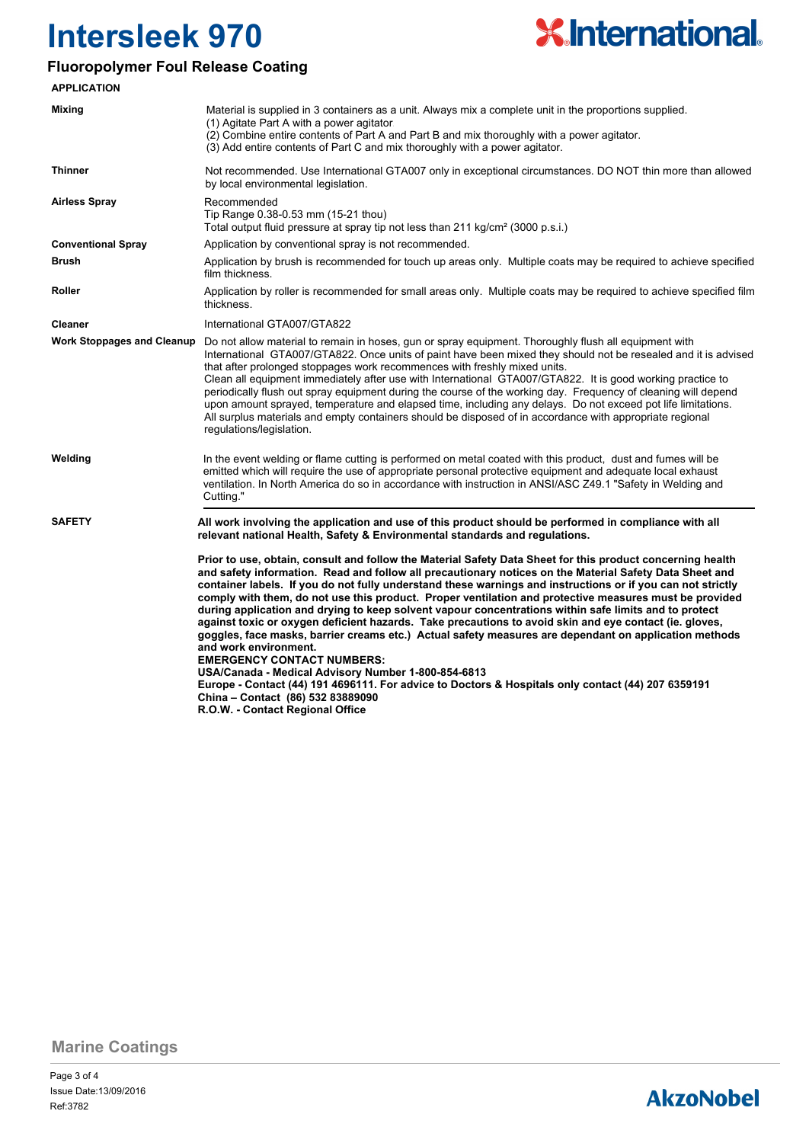

#### **Fluoropolymer Foul Release Coating**

| <b>APPLICATION</b>                |                                                                                                                                                                                                                                                                                                                                                                                                                                                                                                                                                                                                                                                                                                                                                                                                                                                                                                                                                                                                                                                                                |  |  |  |
|-----------------------------------|--------------------------------------------------------------------------------------------------------------------------------------------------------------------------------------------------------------------------------------------------------------------------------------------------------------------------------------------------------------------------------------------------------------------------------------------------------------------------------------------------------------------------------------------------------------------------------------------------------------------------------------------------------------------------------------------------------------------------------------------------------------------------------------------------------------------------------------------------------------------------------------------------------------------------------------------------------------------------------------------------------------------------------------------------------------------------------|--|--|--|
| Mixing                            | Material is supplied in 3 containers as a unit. Always mix a complete unit in the proportions supplied.<br>(1) Agitate Part A with a power agitator.<br>(2) Combine entire contents of Part A and Part B and mix thoroughly with a power agitator.<br>(3) Add entire contents of Part C and mix thoroughly with a power agitator.                                                                                                                                                                                                                                                                                                                                                                                                                                                                                                                                                                                                                                                                                                                                              |  |  |  |
| <b>Thinner</b>                    | Not recommended. Use International GTA007 only in exceptional circumstances. DO NOT thin more than allowed<br>by local environmental legislation.                                                                                                                                                                                                                                                                                                                                                                                                                                                                                                                                                                                                                                                                                                                                                                                                                                                                                                                              |  |  |  |
| <b>Airless Spray</b>              | Recommended<br>Tip Range 0.38-0.53 mm (15-21 thou)<br>Total output fluid pressure at spray tip not less than 211 kg/cm <sup>2</sup> (3000 p.s.i.)                                                                                                                                                                                                                                                                                                                                                                                                                                                                                                                                                                                                                                                                                                                                                                                                                                                                                                                              |  |  |  |
| <b>Conventional Spray</b>         | Application by conventional spray is not recommended.                                                                                                                                                                                                                                                                                                                                                                                                                                                                                                                                                                                                                                                                                                                                                                                                                                                                                                                                                                                                                          |  |  |  |
| <b>Brush</b>                      | Application by brush is recommended for touch up areas only. Multiple coats may be required to achieve specified<br>film thickness.                                                                                                                                                                                                                                                                                                                                                                                                                                                                                                                                                                                                                                                                                                                                                                                                                                                                                                                                            |  |  |  |
| Roller                            | Application by roller is recommended for small areas only. Multiple coats may be required to achieve specified film<br>thickness.                                                                                                                                                                                                                                                                                                                                                                                                                                                                                                                                                                                                                                                                                                                                                                                                                                                                                                                                              |  |  |  |
| <b>Cleaner</b>                    | International GTA007/GTA822                                                                                                                                                                                                                                                                                                                                                                                                                                                                                                                                                                                                                                                                                                                                                                                                                                                                                                                                                                                                                                                    |  |  |  |
| <b>Work Stoppages and Cleanup</b> | Do not allow material to remain in hoses, gun or spray equipment. Thoroughly flush all equipment with<br>International GTA007/GTA822. Once units of paint have been mixed they should not be resealed and it is advised<br>that after prolonged stoppages work recommences with freshly mixed units.<br>Clean all equipment immediately after use with International GTA007/GTA822. It is good working practice to<br>periodically flush out spray equipment during the course of the working day. Frequency of cleaning will depend<br>upon amount sprayed, temperature and elapsed time, including any delays. Do not exceed pot life limitations.<br>All surplus materials and empty containers should be disposed of in accordance with appropriate regional<br>regulations/legislation.                                                                                                                                                                                                                                                                                   |  |  |  |
| Welding                           | In the event welding or flame cutting is performed on metal coated with this product, dust and fumes will be<br>emitted which will require the use of appropriate personal protective equipment and adequate local exhaust<br>ventilation. In North America do so in accordance with instruction in ANSI/ASC Z49.1 "Safety in Welding and<br>Cutting."                                                                                                                                                                                                                                                                                                                                                                                                                                                                                                                                                                                                                                                                                                                         |  |  |  |
| <b>SAFETY</b>                     | All work involving the application and use of this product should be performed in compliance with all<br>relevant national Health, Safety & Environmental standards and regulations.                                                                                                                                                                                                                                                                                                                                                                                                                                                                                                                                                                                                                                                                                                                                                                                                                                                                                           |  |  |  |
|                                   | Prior to use, obtain, consult and follow the Material Safety Data Sheet for this product concerning health<br>and safety information. Read and follow all precautionary notices on the Material Safety Data Sheet and<br>container labels. If you do not fully understand these warnings and instructions or if you can not strictly<br>comply with them, do not use this product. Proper ventilation and protective measures must be provided<br>during application and drying to keep solvent vapour concentrations within safe limits and to protect<br>against toxic or oxygen deficient hazards. Take precautions to avoid skin and eye contact (ie. gloves,<br>goggles, face masks, barrier creams etc.) Actual safety measures are dependant on application methods<br>and work environment.<br><b>EMERGENCY CONTACT NUMBERS:</b><br>USA/Canada - Medical Advisory Number 1-800-854-6813<br>Europe - Contact (44) 191 4696111. For advice to Doctors & Hospitals only contact (44) 207 6359191<br>China - Contact (86) 532 83889090<br>R.O.W. - Contact Regional Office |  |  |  |

**Marine Coatings**